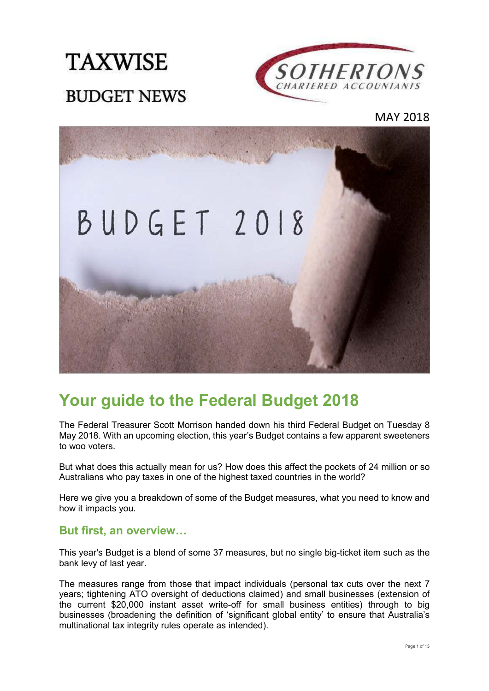



MAY 2018



# **Your guide to the Federal Budget 2018**

The Federal Treasurer Scott Morrison handed down his third Federal Budget on Tuesday 8 May 2018. With an upcoming election, this year's Budget contains a few apparent sweeteners to woo voters.

But what does this actually mean for us? How does this affect the pockets of 24 million or so Australians who pay taxes in one of the highest taxed countries in the world?

Here we give you a breakdown of some of the Budget measures, what you need to know and how it impacts you.

#### **But first, an overview...**

This year's Budget is a blend of some 37 measures, but no single big-ticket item such as the bank levy of last year.

The measures range from those that impact individuals (personal tax cuts over the next 7 years; tightening ATO oversight of deductions claimed) and small businesses (extension of the current \$20,000 instant asset write-off for small business entities) through to big businesses (broadening the definition of 'significant global entity' to ensure that Australia's multinational tax integrity rules operate as intended).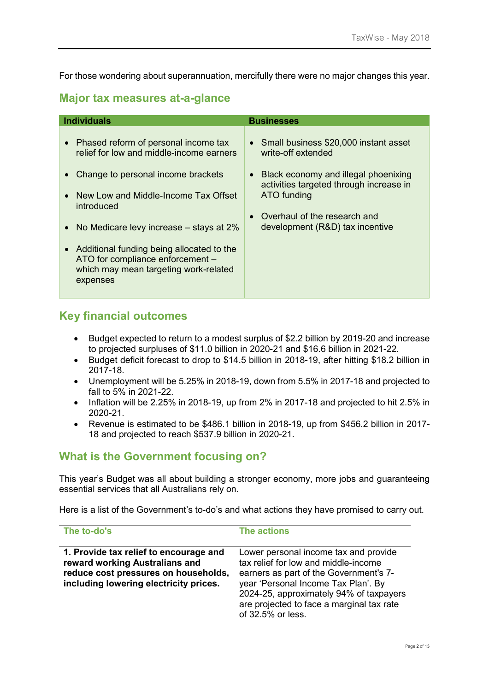For those wondering about superannuation, mercifully there were no major changes this year.

#### **Major tax measures at-a-glance**

| <b>Individuals</b>                                                                                                                                                                                                                                                                                                                                                                                                    | <b>Businesses</b>                                                                                                                                                                                                                  |
|-----------------------------------------------------------------------------------------------------------------------------------------------------------------------------------------------------------------------------------------------------------------------------------------------------------------------------------------------------------------------------------------------------------------------|------------------------------------------------------------------------------------------------------------------------------------------------------------------------------------------------------------------------------------|
| • Phased reform of personal income tax<br>relief for low and middle-income earners<br>Change to personal income brackets<br>$\bullet$<br>New Low and Middle-Income Tax Offset<br>$\bullet$<br>introduced<br>No Medicare levy increase $-$ stays at 2%<br>$\bullet$<br>Additional funding being allocated to the<br>$\bullet$<br>ATO for compliance enforcement -<br>which may mean targeting work-related<br>expenses | • Small business \$20,000 instant asset<br>write-off extended<br>Black economy and illegal phoenixing<br>activities targeted through increase in<br>ATO funding<br>Overhaul of the research and<br>development (R&D) tax incentive |

### **Key financial outcomes**

- Budget expected to return to a modest surplus of \$2.2 billion by 2019-20 and increase to projected surpluses of \$11.0 billion in 2020-21 and \$16.6 billion in 2021-22.
- Budget deficit forecast to drop to \$14.5 billion in 2018-19, after hitting \$18.2 billion in 2017-18.
- Unemployment will be 5.25% in 2018-19, down from 5.5% in 2017-18 and projected to fall to 5% in 2021-22.
- Inflation will be 2.25% in 2018-19, up from 2% in 2017-18 and projected to hit 2.5% in 2020-21.
- Revenue is estimated to be \$486.1 billion in 2018-19, up from \$456.2 billion in 2017- 18 and projected to reach \$537.9 billion in 2020-21.

## **What is the Government focusing on?**

This year's Budget was all about building a stronger economy, more jobs and guaranteeing essential services that all Australians rely on.

Here is a list of the Government's to-do's and what actions they have promised to carry out.

| The to-do's                                                                                                                                                | The actions                                                                                                                                                                                                                                                                 |
|------------------------------------------------------------------------------------------------------------------------------------------------------------|-----------------------------------------------------------------------------------------------------------------------------------------------------------------------------------------------------------------------------------------------------------------------------|
| 1. Provide tax relief to encourage and<br>reward working Australians and<br>reduce cost pressures on households,<br>including lowering electricity prices. | Lower personal income tax and provide<br>tax relief for low and middle-income<br>earners as part of the Government's 7-<br>year 'Personal Income Tax Plan'. By<br>2024-25, approximately 94% of taxpayers<br>are projected to face a marginal tax rate<br>of 32.5% or less. |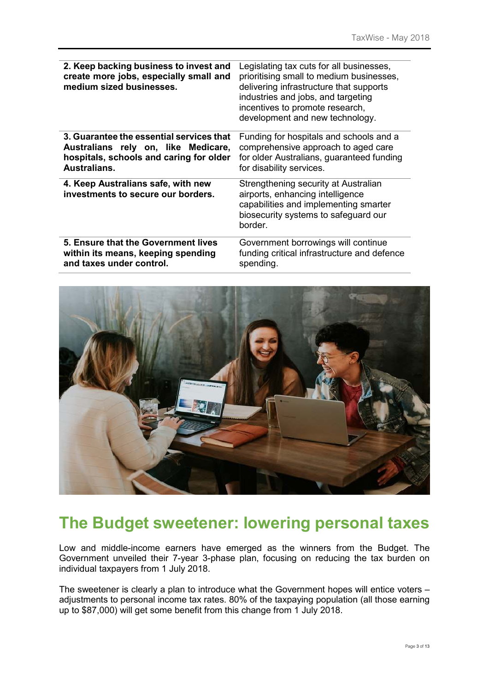| 2. Keep backing business to invest and<br>create more jobs, especially small and<br>medium sized businesses. | Legislating tax cuts for all businesses,<br>prioritising small to medium businesses,<br>delivering infrastructure that supports<br>industries and jobs, and targeting<br>incentives to promote research,<br>development and new technology. |
|--------------------------------------------------------------------------------------------------------------|---------------------------------------------------------------------------------------------------------------------------------------------------------------------------------------------------------------------------------------------|
| 3. Guarantee the essential services that                                                                     | Funding for hospitals and schools and a                                                                                                                                                                                                     |
| Australians rely on, like Medicare,                                                                          | comprehensive approach to aged care                                                                                                                                                                                                         |
| hospitals, schools and caring for older                                                                      | for older Australians, guaranteed funding                                                                                                                                                                                                   |
| Australians.                                                                                                 | for disability services.                                                                                                                                                                                                                    |
| 4. Keep Australians safe, with new<br>investments to secure our borders.                                     | Strengthening security at Australian<br>airports, enhancing intelligence<br>capabilities and implementing smarter<br>biosecurity systems to safeguard our<br>border.                                                                        |
| 5. Ensure that the Government lives                                                                          | Government borrowings will continue                                                                                                                                                                                                         |
| within its means, keeping spending                                                                           | funding critical infrastructure and defence                                                                                                                                                                                                 |
| and taxes under control.                                                                                     | spending.                                                                                                                                                                                                                                   |



# **The Budget sweetener: lowering personal taxes**

Low and middle-income earners have emerged as the winners from the Budget. The Government unveiled their 7-year 3-phase plan, focusing on reducing the tax burden on individual taxpayers from 1 July 2018.

The sweetener is clearly a plan to introduce what the Government hopes will entice voters – adjustments to personal income tax rates. 80% of the taxpaying population (all those earning up to \$87,000) will get some benefit from this change from 1 July 2018.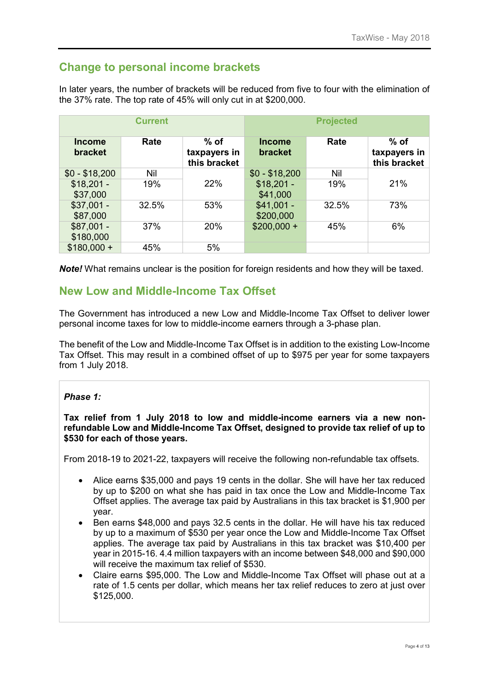## **Change to personal income brackets**

In later years, the number of brackets will be reduced from five to four with the elimination of the 37% rate. The top rate of 45% will only cut in at \$200,000.

|                                 | <b>Current</b> |                                        |                                 | <b>Projected</b> |                                        |
|---------------------------------|----------------|----------------------------------------|---------------------------------|------------------|----------------------------------------|
| <b>Income</b><br><b>bracket</b> | Rate           | $%$ of<br>taxpayers in<br>this bracket | <b>Income</b><br><b>bracket</b> | Rate             | $%$ of<br>taxpayers in<br>this bracket |
| $$0 - $18,200$                  | Nil            |                                        | $$0 - $18,200$                  | Nil              |                                        |
| $$18,201 -$<br>\$37,000         | 19%            | 22%                                    | $$18,201 -$<br>\$41,000         | 19%              | 21%                                    |
| $$37,001 -$<br>\$87,000         | 32.5%          | 53%                                    | $$41,001 -$<br>\$200,000        | 32.5%            | 73%                                    |
| $$87,001 -$<br>\$180,000        | 37%            | 20%                                    | $$200,000 +$                    | 45%              | 6%                                     |
| $$180,000 +$                    | 45%            | 5%                                     |                                 |                  |                                        |

**Note!** What remains unclear is the position for foreign residents and how they will be taxed.

## **New Low and Middle-Income Tax Offset**

The Government has introduced a new Low and Middle-Income Tax Offset to deliver lower personal income taxes for low to middle-income earners through a 3-phase plan.

The benefit of the Low and Middle-Income Tax Offset is in addition to the existing Low-Income Tax Offset. This may result in a combined offset of up to \$975 per year for some taxpayers from 1 July 2018.

#### *Phase 1:*

**Tax relief from 1 July 2018 to low and middle-income earners via a new nonrefundable Low and Middle-Income Tax Offset, designed to provide tax relief of up to \$530 for each of those years.** 

From 2018-19 to 2021-22, taxpayers will receive the following non-refundable tax offsets.

- Alice earns \$35,000 and pays 19 cents in the dollar. She will have her tax reduced by up to \$200 on what she has paid in tax once the Low and Middle-Income Tax Offset applies. The average tax paid by Australians in this tax bracket is \$1,900 per year.
- Ben earns \$48,000 and pays 32.5 cents in the dollar. He will have his tax reduced by up to a maximum of \$530 per year once the Low and Middle-Income Tax Offset applies. The average tax paid by Australians in this tax bracket was \$10,400 per year in 2015-16. 4.4 million taxpayers with an income between \$48,000 and \$90,000 will receive the maximum tax relief of \$530.
- Claire earns \$95,000. The Low and Middle-Income Tax Offset will phase out at a rate of 1.5 cents per dollar, which means her tax relief reduces to zero at just over \$125,000.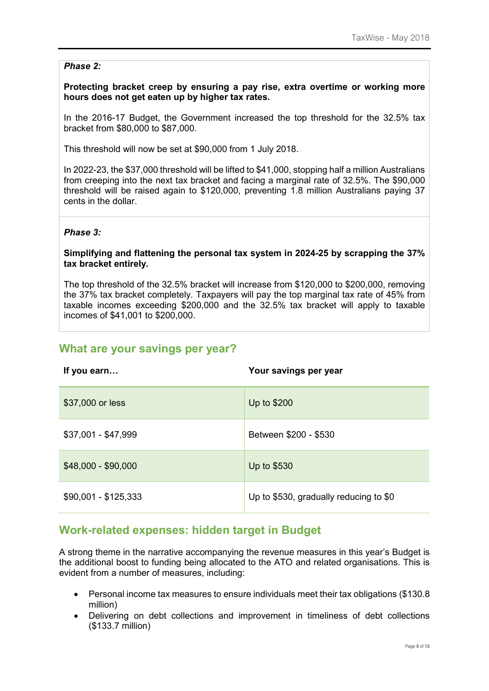#### *Phase 2:*

**Protecting bracket creep by ensuring a pay rise, extra overtime or working more hours does not get eaten up by higher tax rates.** 

In the 2016-17 Budget, the Government increased the top threshold for the 32.5% tax bracket from \$80,000 to \$87,000.

This threshold will now be set at \$90,000 from 1 July 2018.

In 2022-23, the \$37,000 threshold will be lifted to \$41,000, stopping half a million Australians from creeping into the next tax bracket and facing a marginal rate of 32.5%. The \$90,000 threshold will be raised again to \$120,000, preventing 1.8 million Australians paying 37 cents in the dollar.

#### *Phase 3:*

#### **Simplifying and flattening the personal tax system in 2024-25 by scrapping the 37% tax bracket entirely.**

The top threshold of the 32.5% bracket will increase from \$120,000 to \$200,000, removing the 37% tax bracket completely. Taxpayers will pay the top marginal tax rate of 45% from taxable incomes exceeding \$200,000 and the 32.5% tax bracket will apply to taxable incomes of \$41,001 to \$200,000.

### **What are your savings per year?**

| If you earn          | Your savings per year                  |
|----------------------|----------------------------------------|
| \$37,000 or less     | Up to \$200                            |
| \$37,001 - \$47,999  | Between \$200 - \$530                  |
| \$48,000 - \$90,000  | Up to \$530                            |
| \$90,001 - \$125,333 | Up to \$530, gradually reducing to \$0 |

## **Work-related expenses: hidden target in Budget**

A strong theme in the narrative accompanying the revenue measures in this year's Budget is the additional boost to funding being allocated to the ATO and related organisations. This is evident from a number of measures, including:

- Personal income tax measures to ensure individuals meet their tax obligations (\$130.8 million)
- Delivering on debt collections and improvement in timeliness of debt collections (\$133.7 million)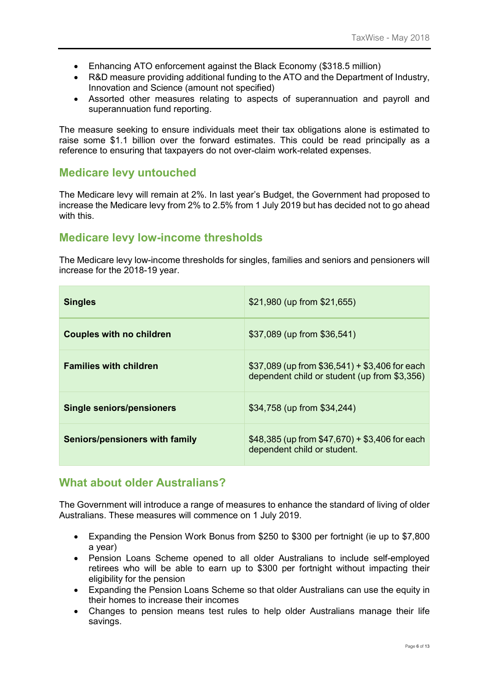- Enhancing ATO enforcement against the Black Economy (\$318.5 million)
- R&D measure providing additional funding to the ATO and the Department of Industry, Innovation and Science (amount not specified)
- Assorted other measures relating to aspects of superannuation and payroll and superannuation fund reporting.

The measure seeking to ensure individuals meet their tax obligations alone is estimated to raise some \$1.1 billion over the forward estimates. This could be read principally as a reference to ensuring that taxpayers do not over-claim work-related expenses.

## **Medicare levy untouched**

The Medicare levy will remain at 2%. In last year's Budget, the Government had proposed to increase the Medicare levy from 2% to 2.5% from 1 July 2019 but has decided not to go ahead with this.

## **Medicare levy low-income thresholds**

The Medicare levy low-income thresholds for singles, families and seniors and pensioners will increase for the 2018-19 year.

| <b>Singles</b>                   | $$21,980$ (up from $$21,655$ )                                                                     |
|----------------------------------|----------------------------------------------------------------------------------------------------|
| <b>Couples with no children</b>  | \$37,089 (up from \$36,541)                                                                        |
| <b>Families with children</b>    | $$37,089$ (up from $$36,541$ ) + $$3,406$ for each<br>dependent child or student (up from \$3,356) |
| <b>Single seniors/pensioners</b> | \$34,758 (up from \$34,244)                                                                        |
| Seniors/pensioners with family   | $$48,385$ (up from $$47,670$ ) + \$3,406 for each<br>dependent child or student.                   |

## **What about older Australians?**

The Government will introduce a range of measures to enhance the standard of living of older Australians. These measures will commence on 1 July 2019.

- Expanding the Pension Work Bonus from \$250 to \$300 per fortnight (ie up to \$7,800 a year)
- Pension Loans Scheme opened to all older Australians to include self-employed retirees who will be able to earn up to \$300 per fortnight without impacting their eligibility for the pension
- Expanding the Pension Loans Scheme so that older Australians can use the equity in their homes to increase their incomes
- Changes to pension means test rules to help older Australians manage their life savings.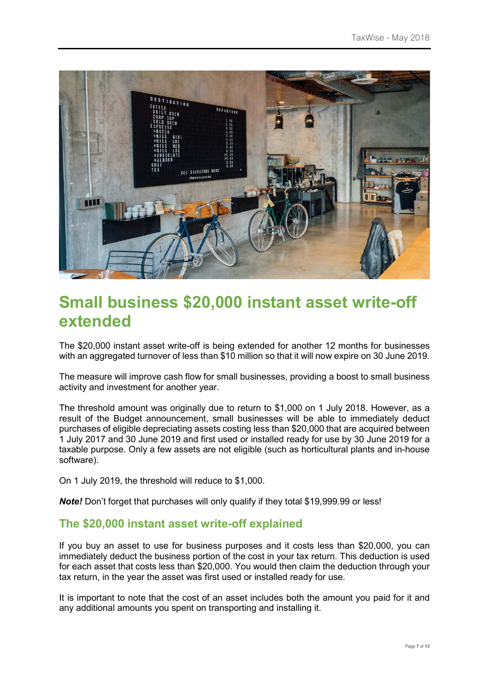

# **Small business \$20,000 instant asset write-off extended**

The \$20,000 instant asset write-off is being extended for another 12 months for businesses with an aggregated turnover of less than \$10 million so that it will now expire on 30 June 2019.

The measure will improve cash flow for small businesses, providing a boost to small business activity and investment for another year.

The threshold amount was originally due to return to \$1,000 on 1 July 2018. However, as a result of the Budget announcement, small businesses will be able to immediately deduct purchases of eligible depreciating assets costing less than \$20,000 that are acquired between 1 July 2017 and 30 June 2019 and first used or installed ready for use by 30 June 2019 for a taxable purpose. Only a few assets are not eligible (such as horticultural plants and in-house software).

On 1 July 2019, the threshold will reduce to \$1,000.

*Note!* Don't forget that purchases will only qualify if they total \$19,999.99 or less!

## **The \$20,000 instant asset write-off explained**

If you buy an asset to use for business purposes and it costs less than \$20,000, you can immediately deduct the business portion of the cost in your tax return. This deduction is used for each asset that costs less than \$20,000. You would then claim the deduction through your tax return, in the year the asset was first used or installed ready for use.

It is important to note that the cost of an asset includes both the amount you paid for it and any additional amounts you spent on transporting and installing it.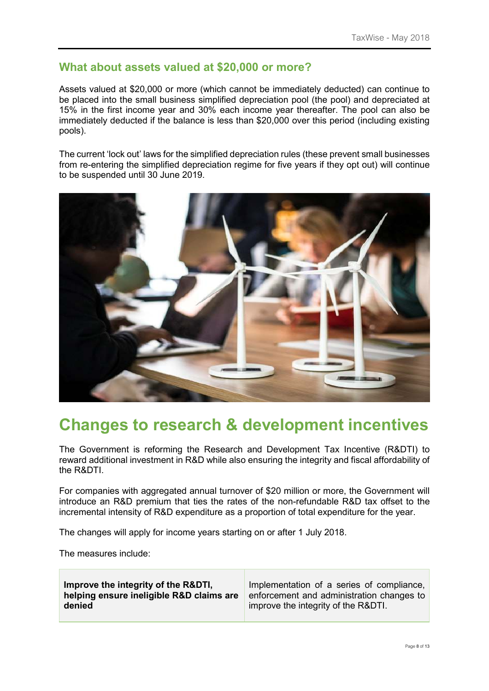### **What about assets valued at \$20,000 or more?**

Assets valued at \$20,000 or more (which cannot be immediately deducted) can continue to be placed into the small business simplified depreciation pool (the pool) and depreciated at 15% in the first income year and 30% each income year thereafter. The pool can also be immediately deducted if the balance is less than \$20,000 over this period (including existing pools).

The current 'lock out' laws for the simplified depreciation rules (these prevent small businesses from re-entering the simplified depreciation regime for five years if they opt out) will continue to be suspended until 30 June 2019.



# **Changes to research & development incentives**

The Government is reforming the Research and Development Tax Incentive (R&DTI) to reward additional investment in R&D while also ensuring the integrity and fiscal affordability of the R&DTI.

For companies with aggregated annual turnover of \$20 million or more, the Government will introduce an R&D premium that ties the rates of the non-refundable R&D tax offset to the incremental intensity of R&D expenditure as a proportion of total expenditure for the year.

The changes will apply for income years starting on or after 1 July 2018.

The measures include: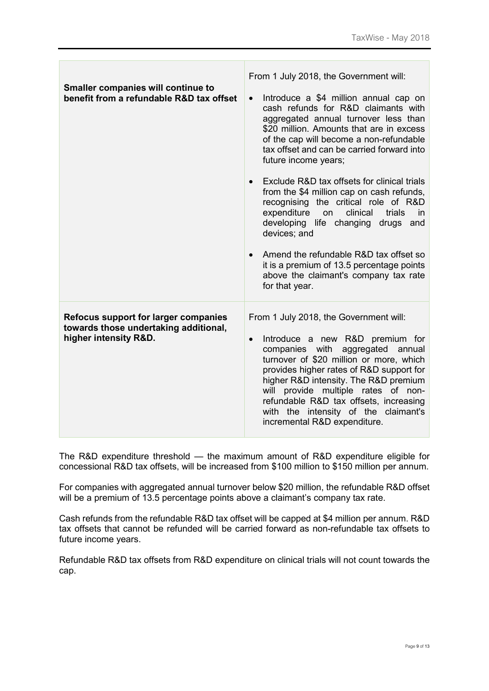| <b>Smaller companies will continue to</b><br>benefit from a refundable R&D tax offset                  | From 1 July 2018, the Government will:                                                                                                                                                                                                                                                                                                                                                                              |  |
|--------------------------------------------------------------------------------------------------------|---------------------------------------------------------------------------------------------------------------------------------------------------------------------------------------------------------------------------------------------------------------------------------------------------------------------------------------------------------------------------------------------------------------------|--|
|                                                                                                        | Introduce a \$4 million annual cap on<br>$\bullet$<br>cash refunds for R&D claimants with<br>aggregated annual turnover less than<br>\$20 million. Amounts that are in excess<br>of the cap will become a non-refundable<br>tax offset and can be carried forward into<br>future income years;                                                                                                                      |  |
|                                                                                                        | Exclude R&D tax offsets for clinical trials<br>$\bullet$<br>from the \$4 million cap on cash refunds,<br>recognising the critical role of R&D<br>expenditure<br>clinical<br>trials<br>on<br>in<br>developing life changing drugs and<br>devices; and<br>Amend the refundable R&D tax offset so<br>$\bullet$<br>it is a premium of 13.5 percentage points<br>above the claimant's company tax rate<br>for that year. |  |
| Refocus support for larger companies<br>towards those undertaking additional,<br>higher intensity R&D. | From 1 July 2018, the Government will:<br>Introduce a new R&D premium for<br>$\bullet$<br>companies with aggregated annual<br>turnover of \$20 million or more, which<br>provides higher rates of R&D support for<br>higher R&D intensity. The R&D premium<br>will provide multiple rates of non-<br>refundable R&D tax offsets, increasing<br>with the intensity of the claimant's<br>incremental R&D expenditure. |  |

 $\overline{\phantom{0}}$ 

 $\mathbb{R}^n$ 

The R&D expenditure threshold — the maximum amount of R&D expenditure eligible for concessional R&D tax offsets, will be increased from \$100 million to \$150 million per annum.

For companies with aggregated annual turnover below \$20 million, the refundable R&D offset will be a premium of 13.5 percentage points above a claimant's company tax rate.

Cash refunds from the refundable R&D tax offset will be capped at \$4 million per annum. R&D tax offsets that cannot be refunded will be carried forward as non-refundable tax offsets to future income years.

Refundable R&D tax offsets from R&D expenditure on clinical trials will not count towards the cap.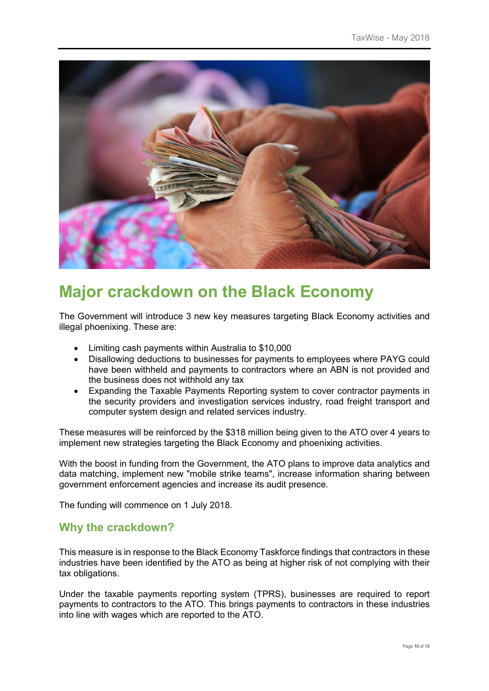

# **Major crackdown on the Black Economy**

The Government will introduce 3 new key measures targeting Black Economy activities and illegal phoenixing. These are:

- Limiting cash payments within Australia to \$10,000
- Disallowing deductions to businesses for payments to employees where PAYG could have been withheld and payments to contractors where an ABN is not provided and the business does not withhold any tax
- Expanding the Taxable Payments Reporting system to cover contractor payments in the security providers and investigation services industry, road freight transport and computer system design and related services industry.

These measures will be reinforced by the \$318 million being given to the ATO over 4 years to implement new strategies targeting the Black Economy and phoenixing activities.

With the boost in funding from the Government, the ATO plans to improve data analytics and data matching, implement new "mobile strike teams", increase information sharing between government enforcement agencies and increase its audit presence.

The funding will commence on 1 July 2018.

#### **Why the crackdown?**

This measure is in response to the Black Economy Taskforce findings that contractors in these industries have been identified by the ATO as being at higher risk of not complying with their tax obligations.

Under the taxable payments reporting system (TPRS), businesses are required to report payments to contractors to the ATO. This brings payments to contractors in these industries into line with wages which are reported to the ATO.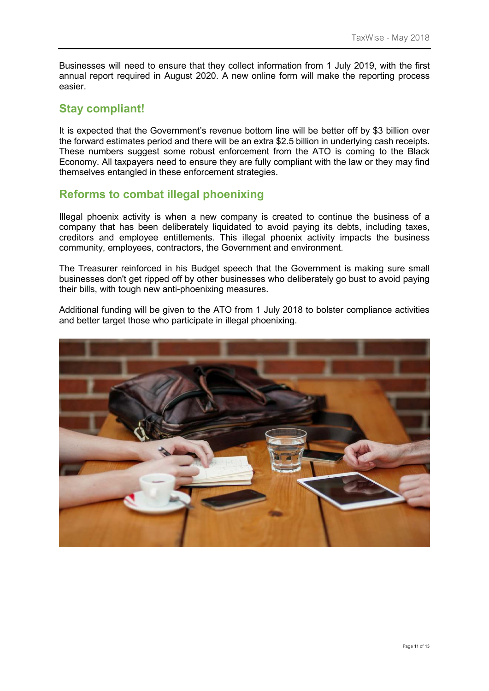Businesses will need to ensure that they collect information from 1 July 2019, with the first annual report required in August 2020. A new online form will make the reporting process easier.

### **Stay compliant!**

It is expected that the Government's revenue bottom line will be better off by \$3 billion over the forward estimates period and there will be an extra \$2.5 billion in underlying cash receipts. These numbers suggest some robust enforcement from the ATO is coming to the Black Economy. All taxpayers need to ensure they are fully compliant with the law or they may find themselves entangled in these enforcement strategies.

### **Reforms to combat illegal phoenixing**

Illegal phoenix activity is when a new company is created to continue the business of a company that has been deliberately liquidated to avoid paying its debts, including taxes, creditors and employee entitlements. This illegal phoenix activity impacts the business community, employees, contractors, the Government and environment.

The Treasurer reinforced in his Budget speech that the Government is making sure small businesses don't get ripped off by other businesses who deliberately go bust to avoid paying their bills, with tough new anti-phoenixing measures.

Additional funding will be given to the ATO from 1 July 2018 to bolster compliance activities and better target those who participate in illegal phoenixing.

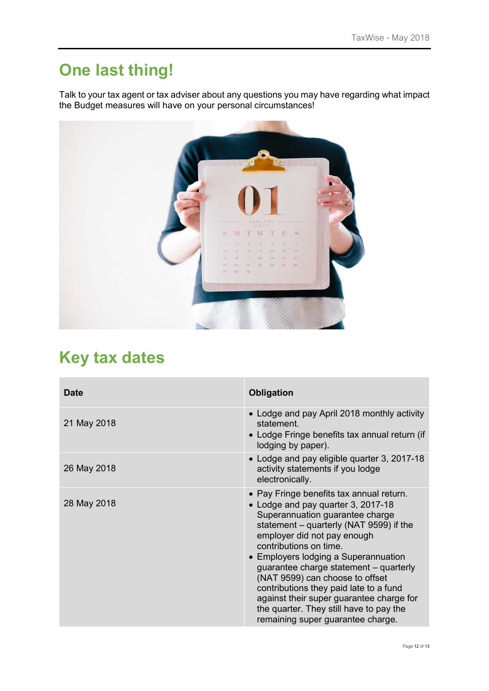# **One last thing!**

Talk to your tax agent or tax adviser about any questions you may have regarding what impact the Budget measures will have on your personal circumstances!



# **Key tax dates**

| <b>Date</b> | <b>Obligation</b>                                                                                                                                                                                                                                                                                                                                                                                                                                                                                                |
|-------------|------------------------------------------------------------------------------------------------------------------------------------------------------------------------------------------------------------------------------------------------------------------------------------------------------------------------------------------------------------------------------------------------------------------------------------------------------------------------------------------------------------------|
| 21 May 2018 | • Lodge and pay April 2018 monthly activity<br>statement.<br>• Lodge Fringe benefits tax annual return (if<br>lodging by paper).                                                                                                                                                                                                                                                                                                                                                                                 |
| 26 May 2018 | • Lodge and pay eligible quarter 3, 2017-18<br>activity statements if you lodge<br>electronically.                                                                                                                                                                                                                                                                                                                                                                                                               |
| 28 May 2018 | • Pay Fringe benefits tax annual return.<br>• Lodge and pay quarter 3, 2017-18<br>Superannuation guarantee charge<br>statement - quarterly (NAT 9599) if the<br>employer did not pay enough<br>contributions on time.<br>• Employers lodging a Superannuation<br>guarantee charge statement – quarterly<br>(NAT 9599) can choose to offset<br>contributions they paid late to a fund<br>against their super guarantee charge for<br>the quarter. They still have to pay the<br>remaining super guarantee charge. |